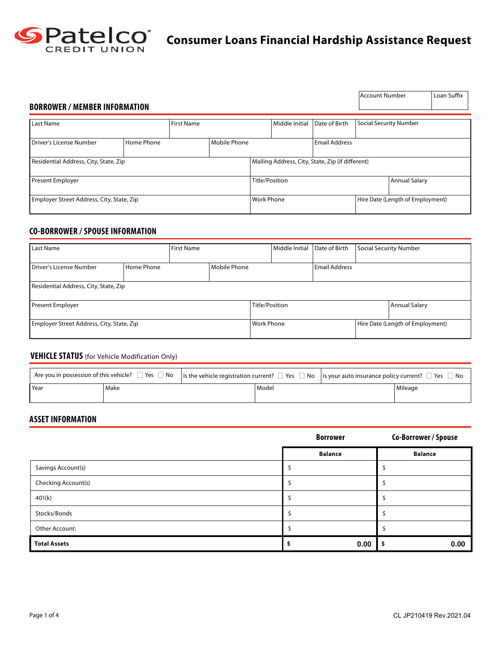

# **Consumer Loans Financial Hardship Assistance Request**

| <b>BORROWER / MEMBER INFORMATION</b>      |            |                   |                                                  |                |                |                      | Account Number                   |                      | Loan Suffix |
|-------------------------------------------|------------|-------------------|--------------------------------------------------|----------------|----------------|----------------------|----------------------------------|----------------------|-------------|
| Last Name                                 |            | <b>First Name</b> |                                                  |                | Middle Initial | Date of Birth        | <b>Social Security Number</b>    |                      |             |
| Driver's License Number                   | Home Phone |                   | Mobile Phone                                     |                |                | <b>Email Address</b> |                                  |                      |             |
| Residential Address, City, State, Zip     |            |                   | Mailing Address, City, State, Zip (if different) |                |                |                      |                                  |                      |             |
| <b>Present Employer</b>                   |            |                   |                                                  | Title/Position |                |                      |                                  | <b>Annual Salary</b> |             |
| Employer Street Address, City, State, Zip |            |                   | <b>Work Phone</b>                                |                |                |                      | Hire Date (Length of Employment) |                      |             |

## **CO-BORROWER / SPOUSE INFORMATION**

| Last Name                                 |  | <b>First Name</b> |                   | Middle Initial       | Date of Birth |  | Social Security Number           |  |
|-------------------------------------------|--|-------------------|-------------------|----------------------|---------------|--|----------------------------------|--|
| Home Phone<br>Driver's License Number     |  | Mobile Phone      |                   | <b>Email Address</b> |               |  |                                  |  |
| Residential Address, City, State, Zip     |  |                   |                   |                      |               |  |                                  |  |
| <b>Present Employer</b>                   |  |                   | Title/Position    |                      |               |  | Annual Salary                    |  |
| Employer Street Address, City, State, Zip |  |                   | <b>Work Phone</b> |                      |               |  | Hire Date (Length of Employment) |  |

## **VEHICLE STATUS** (for Vehicle Modification Only)

| . Are you in possession of this vehicle? $\Box$ Yes $\Box$ No $\hspace{1.5mm}$   Is the vehicle registration current? $\Box$ Yes $\Box$ No $\hspace{1.5mm}$   Is your auto insurance policy current? $\Box$ Yes $\hspace{1.5mm}$ No |      |       |  |         |
|-------------------------------------------------------------------------------------------------------------------------------------------------------------------------------------------------------------------------------------|------|-------|--|---------|
| Year                                                                                                                                                                                                                                | Make | Model |  | Mileage |

## **ASSET INFORMATION**

|                     | <b>Borrower</b> | Co-Borrower / Spouse |
|---------------------|-----------------|----------------------|
|                     | <b>Balance</b>  | <b>Balance</b>       |
| Savings Account(s)  |                 |                      |
| Checking Account(s) |                 |                      |
| 401(k)              |                 |                      |
| Stocks/Bonds        |                 |                      |
| Other Account:      |                 |                      |
| <b>Total Assets</b> | 0.00            | 0.00                 |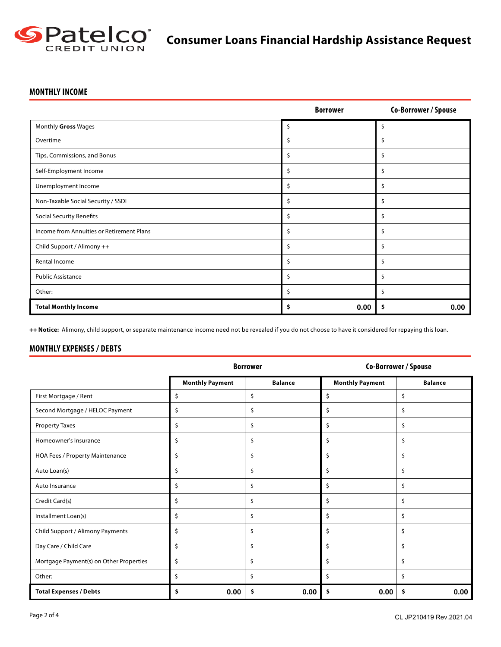

## **MONTHLY INCOME**

|                                           | <b>Borrower</b> | Co-Borrower / Spouse |
|-------------------------------------------|-----------------|----------------------|
| Monthly Gross Wages                       | \$              | \$                   |
| Overtime                                  | \$              | \$                   |
| Tips, Commissions, and Bonus              | Ś               | Ś                    |
| Self-Employment Income                    | \$              | \$                   |
| Unemployment Income                       | \$              | \$                   |
| Non-Taxable Social Security / SSDI        | \$              | Ś                    |
| <b>Social Security Benefits</b>           | \$              | \$                   |
| Income from Annuities or Retirement Plans | \$              | \$                   |
| Child Support / Alimony ++                | \$              | \$                   |
| Rental Income                             | \$              | \$                   |
| <b>Public Assistance</b>                  | \$              | \$                   |
| Other:                                    | \$              | Ś                    |
| <b>Total Monthly Income</b>               | \$<br>0.00      | \$<br>0.00           |

**++ Notice:** Alimony, child support, or separate maintenance income need not be revealed if you do not choose to have it considered for repaying this loan.

## **MONTHLY EXPENSES / DEBTS**

|                                         |                        | <b>Borrower</b> |                        | Co-Borrower / Spouse |
|-----------------------------------------|------------------------|-----------------|------------------------|----------------------|
|                                         | <b>Monthly Payment</b> | <b>Balance</b>  | <b>Monthly Payment</b> | <b>Balance</b>       |
| First Mortgage / Rent                   | \$                     | \$              | \$                     | \$                   |
| Second Mortgage / HELOC Payment         | \$                     | \$              | \$                     | \$                   |
| <b>Property Taxes</b>                   | \$                     | \$              | \$                     | \$                   |
| Homeowner's Insurance                   | \$                     | \$              | \$                     | \$                   |
| HOA Fees / Property Maintenance         | \$                     | \$              | \$                     | \$                   |
| Auto Loan(s)                            | \$                     | \$              | \$                     | \$                   |
| Auto Insurance                          | \$                     | \$              | \$                     | \$                   |
| Credit Card(s)                          | \$                     | \$              | \$                     | \$                   |
| Installment Loan(s)                     | \$                     | \$              | \$                     | \$                   |
| Child Support / Alimony Payments        | \$                     | \$              | \$                     | \$                   |
| Day Care / Child Care                   | \$                     | \$              | \$                     | \$                   |
| Mortgage Payment(s) on Other Properties | \$                     | \$              | \$                     | \$                   |
| Other:                                  | \$                     | Ś               | \$                     | \$                   |
| <b>Total Expenses / Debts</b>           | 0.00<br>\$             | 0.00<br>\$      | 0.00<br>\$             | 0.00<br>\$           |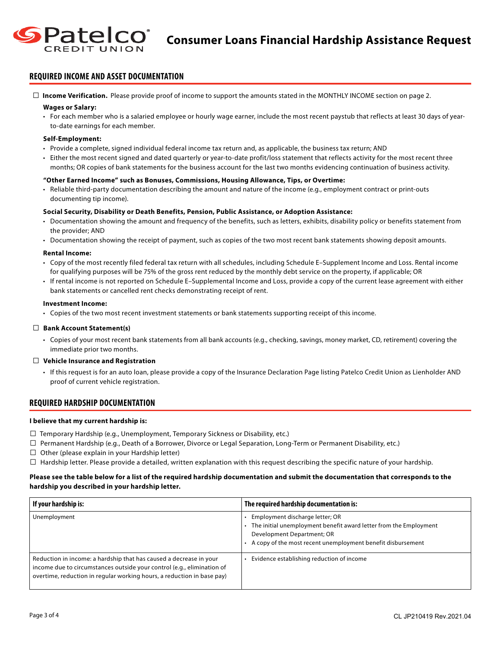

## **REQUIRED INCOME AND ASSET DOCUMENTATION**

 **Income Verification.** Please provide proof of income to support the amounts stated in the MONTHLY INCOME section on page 2.

#### **Wages or Salary:**

• For each member who is a salaried employee or hourly wage earner, include the most recent paystub that reflects at least 30 days of yearto-date earnings for each member.

#### **Self-Employment:**

- Provide a complete, signed individual federal income tax return and, as applicable, the business tax return; AND
- Either the most recent signed and dated quarterly or year-to-date profit/loss statement that reflects activity for the most recent three months; OR copies of bank statements for the business account for the last two months evidencing continuation of business activity.

#### **"Other Earned Income" such as Bonuses, Commissions, Housing Allowance, Tips, or Overtime:**

• Reliable third‐party documentation describing the amount and nature of the income (e.g., employment contract or print-outs documenting tip income).

#### **Social Security, Disability or Death Benefits, Pension, Public Assistance, or Adoption Assistance:**

- Documentation showing the amount and frequency of the benefits, such as letters, exhibits, disability policy or benefits statement from the provider; AND
- Documentation showing the receipt of payment, such as copies of the two most recent bank statements showing deposit amounts.

#### **Rental Income:**

- Copy of the most recently filed federal tax return with all schedules, including Schedule E–Supplement Income and Loss. Rental income for qualifying purposes will be 75% of the gross rent reduced by the monthly debt service on the property, if applicable; OR
- If rental income is not reported on Schedule E–Supplemental Income and Loss, provide a copy of the current lease agreement with either bank statements or cancelled rent checks demonstrating receipt of rent.

#### **Investment Income:**

• Copies of the two most recent investment statements or bank statements supporting receipt of this income.

#### **Bank Account Statement(s)**

• Copies of your most recent bank statements from all bank accounts (e.g., checking, savings, money market, CD, retirement) covering the immediate prior two months.

#### **Vehicle Insurance and Registration**

• If this request is for an auto loan, please provide a copy of the Insurance Declaration Page listing Patelco Credit Union as Lienholder AND proof of current vehicle registration.

#### **REQUIRED HARDSHIP DOCUMENTATION**

#### **I believe that my current hardship is:**

- $\Box$  Temporary Hardship (e.g., Unemployment, Temporary Sickness or Disability, etc.)
- $\Box$  Permanent Hardship (e.g., Death of a Borrower, Divorce or Legal Separation, Long-Term or Permanent Disability, etc.)
- $\Box$  Other (please explain in your Hardship letter)
- $\Box$  Hardship letter. Please provide a detailed, written explanation with this request describing the specific nature of your hardship.

#### **Please see the table below for a list of the required hardship documentation and submit the documentation that corresponds to the hardship you described in your hardship letter.**

| If your hardship is:                                                                                                                                                                                                   | The required hardship documentation is:                                                                                                                                                           |
|------------------------------------------------------------------------------------------------------------------------------------------------------------------------------------------------------------------------|---------------------------------------------------------------------------------------------------------------------------------------------------------------------------------------------------|
| Unemployment                                                                                                                                                                                                           | Employment discharge letter; OR<br>The initial unemployment benefit award letter from the Employment<br>Development Department; OR<br>A copy of the most recent unemployment benefit disbursement |
| Reduction in income: a hardship that has caused a decrease in your<br>income due to circumstances outside your control (e.g., elimination of<br>overtime, reduction in regular working hours, a reduction in base pay) | Evidence establishing reduction of income                                                                                                                                                         |